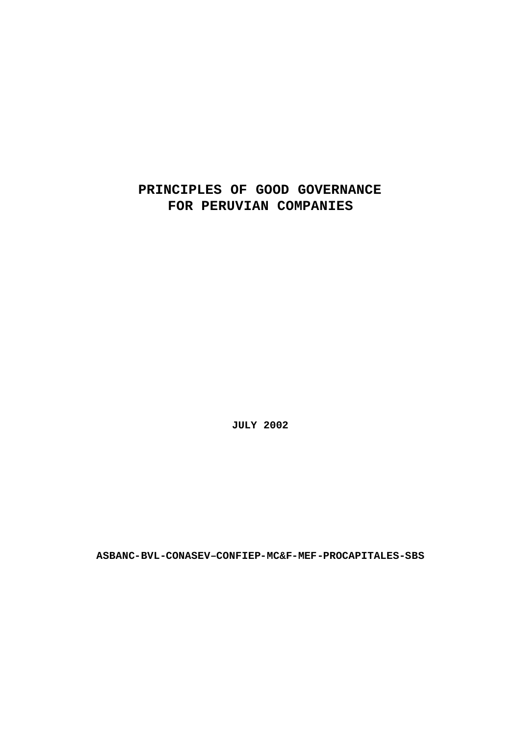# **PRINCIPLES OF GOOD GOVERNANCE FOR PERUVIAN COMPANIES**

**JULY 2002**

**ASBANC-BVL-CONASEV–CONFIEP-MC&F-MEF-PROCAPITALES-SBS**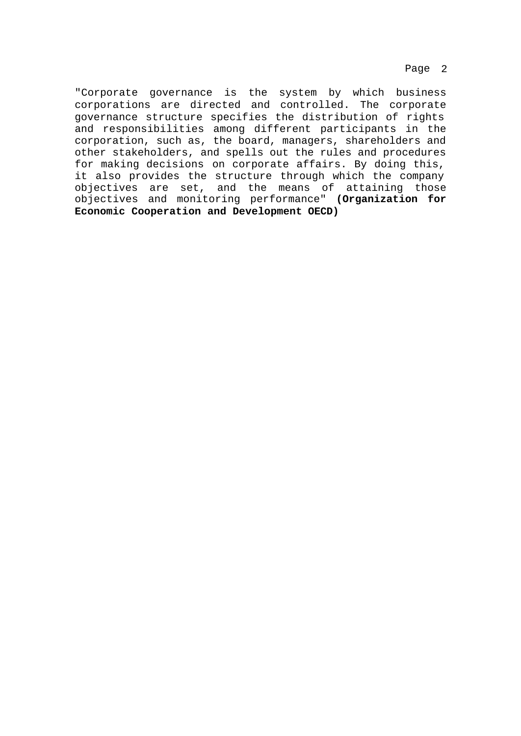Page 2

"Corporate governance is the system by which business corporations are directed and controlled. The corporate governance structure specifies the distribution of rights and responsibilities among different participants in the corporation, such as, the board, managers, shareholders and other stakeholders, and spells out the rules and procedures for making decisions on corporate affairs. By doing this, it also provides the structure through which the company objectives are set, and the means of attaining those objectives and monitoring performance" **(Organization for Economic Cooperation and Development OECD)**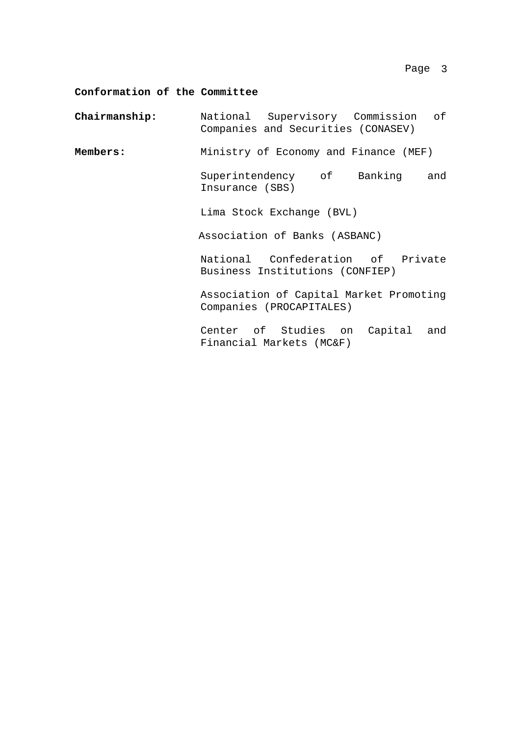## **Conformation of the Committee**

| Chairmanship: | National Supervisory Commission of<br>Companies and Securities (CONASEV) |
|---------------|--------------------------------------------------------------------------|
| Members:      | Ministry of Economy and Finance (MEF)                                    |
|               | Superintendency of Banking and<br>Insurance (SBS)                        |
|               | Lima Stock Exchange (BVL)                                                |
|               | Association of Banks (ASBANC)                                            |
|               | National Confederation of Private<br>Business Institutions (CONFIEP)     |
|               | Association of Capital Market Promoting<br>Companies (PROCAPITALES)      |
|               | Center of Studies on Capital and<br>Financial Markets (MC&F)             |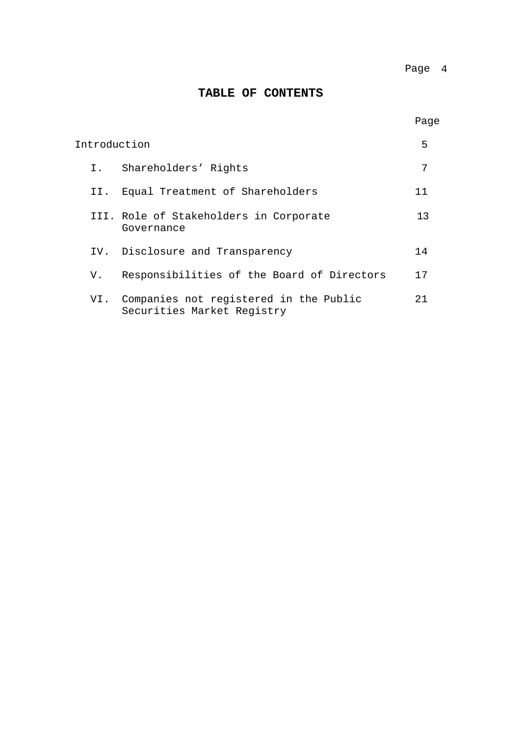## **TABLE OF CONTENTS**

| Introduction |     |                                                                          | 5  |
|--------------|-----|--------------------------------------------------------------------------|----|
|              | I.  | Shareholders' Rights                                                     | 7  |
|              | II. | Equal Treatment of Shareholders                                          | 11 |
|              |     | III. Role of Stakeholders in Corporate<br>Governance                     | 13 |
|              |     | IV. Disclosure and Transparency                                          | 14 |
|              | V.  | Responsibilities of the Board of Directors                               | 17 |
|              |     | VI. Companies not registered in the Public<br>Securities Market Registry | 21 |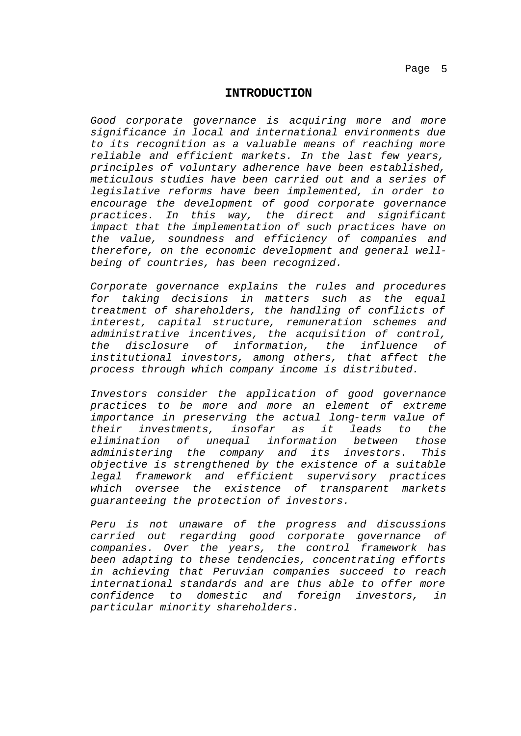#### **INTRODUCTION**

*Good corporate governance is acquiring more and more significance in local and international environments due to its recognition as a valuable means of reaching more reliable and efficient markets. In the last few years, principles of voluntary adherence have been established, meticulous studies have been carried out and a series of legislative reforms have been implemented, in order to encourage the development of good corporate governance practices. In this way, the direct and significant impact that the implementation of such practices have on the value, soundness and efficiency of companies and therefore, on the economic development and general wellbeing of countries, has been recognized.*

*Corporate governance explains the rules and procedures for taking decisions in matters such as the equal treatment of shareholders, the handling of conflicts of interest, capital structure, remuneration schemes and administrative incentives, the acquisition of control, the disclosure of information, the influence of institutional investors, among others, that affect the process through which company income is distributed.*

*Investors consider the application of good governance practices to be more and more an element of extreme importance in preserving the actual long-term value of their investments, insofar as it leads to the elimination of unequal information between those administering the company and its investors. This objective is strengthened by the existence of a suitable legal framework and efficient supervisory practices which oversee the existence of transparent markets guaranteeing the protection of investors.*

*Peru is not unaware of the progress and discussions carried out regarding good corporate governance of companies. Over the years, the control framework has been adapting to these tendencies, concentrating efforts in achieving that Peruvian companies succeed to reach international standards and are thus able to offer more confidence to domestic and foreign investors, in particular minority shareholders.*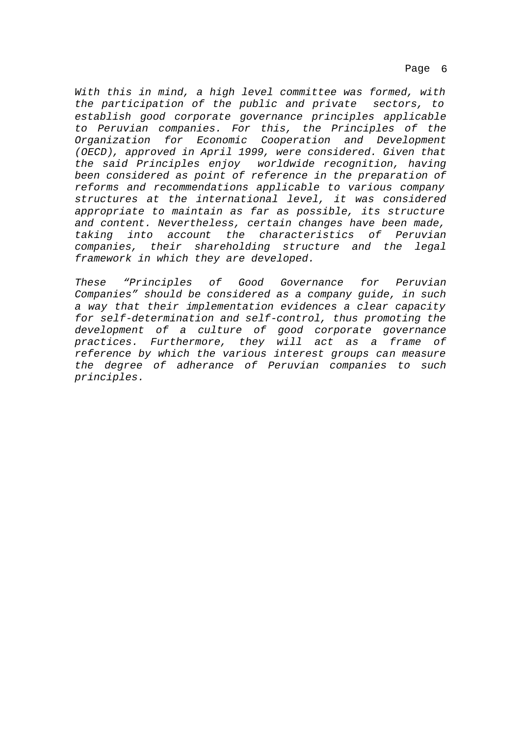Page 6

*With this in mind, a high level committee was formed, with the participation of the public and private sectors, to establish good corporate governance principles applicable to Peruvian companies. For this, the Principles of the Organization for Economic Cooperation and Development (OECD), approved in April 1999, were considered. Given that the said Principles enjoy worldwide recognition, having been considered as point of reference in the preparation of reforms and recommendations applicable to various company structures at the international level, it was considered appropriate to maintain as far as possible, its structure and content. Nevertheless, certain changes have been made, taking into account the characteristics of Peruvian companies, their shareholding structure and the legal framework in which they are developed.*

*These "Principles of Good Governance for Peruvian Companies" should be considered as a company guide, in such a way that their implementation evidences a clear capacity for self-determination and self-control, thus promoting the development of a culture of good corporate governance practices. Furthermore, they will act as a frame of reference by which the various interest groups can measure the degree of adherance of Peruvian companies to such principles.*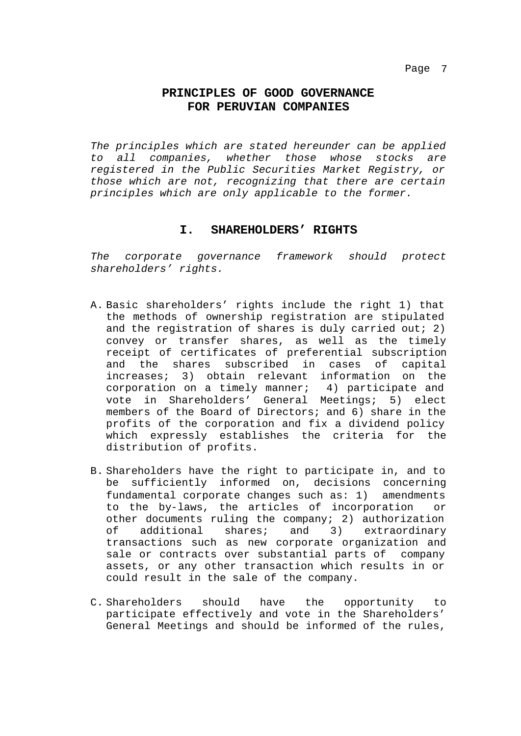## **PRINCIPLES OF GOOD GOVERNANCE FOR PERUVIAN COMPANIES**

*The principles which are stated hereunder can be applied to all companies, whether those whose stocks are registered in the Public Securities Market Registry, or those which are not, recognizing that there are certain principles which are only applicable to the former.*

#### **I. SHAREHOLDERS' RIGHTS**

*The corporate governance framework should protect shareholders' rights.*

- A. Basic shareholders' rights include the right 1) that the methods of ownership registration are stipulated and the registration of shares is duly carried out; 2) convey or transfer shares, as well as the timely receipt of certificates of preferential subscription and the shares subscribed in cases of capital increases; 3) obtain relevant information on the corporation on a timely manner; 4) participate and vote in Shareholders' General Meetings; 5) elect members of the Board of Directors; and 6) share in the profits of the corporation and fix a dividend policy which expressly establishes the criteria for the distribution of profits.
- B. Shareholders have the right to participate in, and to be sufficiently informed on, decisions concerning fundamental corporate changes such as: 1) amendments to the by-laws, the articles of incorporation or other documents ruling the company; 2) authorization of additional shares; and 3) extraordinary transactions such as new corporate organization and sale or contracts over substantial parts of company assets, or any other transaction which results in or could result in the sale of the company.
- C. Shareholders should have the opportunity to participate effectively and vote in the Shareholders' General Meetings and should be informed of the rules,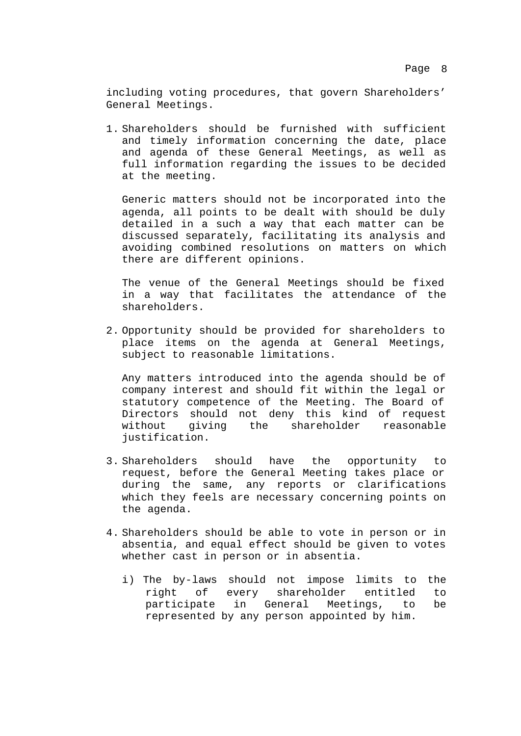including voting procedures, that govern Shareholders' General Meetings.

1. Shareholders should be furnished with sufficient and timely information concerning the date, place and agenda of these General Meetings, as well as full information regarding the issues to be decided at the meeting.

Generic matters should not be incorporated into the agenda, all points to be dealt with should be duly detailed in a such a way that each matter can be discussed separately, facilitating its analysis and avoiding combined resolutions on matters on which there are different opinions.

The venue of the General Meetings should be fixed in a way that facilitates the attendance of the shareholders.

2. Opportunity should be provided for shareholders to place items on the agenda at General Meetings, subject to reasonable limitations.

Any matters introduced into the agenda should be of company interest and should fit within the legal or statutory competence of the Meeting. The Board of Directors should not deny this kind of request without giving the shareholder reasonable justification.

- 3. Shareholders should have the opportunity to request, before the General Meeting takes place or during the same, any reports or clarifications which they feels are necessary concerning points on the agenda.
- 4. Shareholders should be able to vote in person or in absentia, and equal effect should be given to votes whether cast in person or in absentia.
	- i) The by-laws should not impose limits to the right of every shareholder entitled to participate in General Meetings, to be represented by any person appointed by him.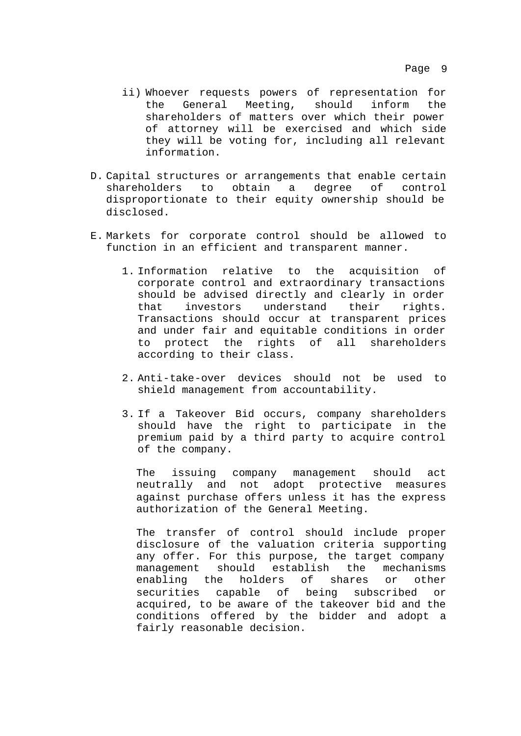- ii) Whoever requests powers of representation for the General Meeting, should inform the shareholders of matters over which their power of attorney will be exercised and which side they will be voting for, including all relevant information.
- D. Capital structures or arrangements that enable certain shareholders to obtain a degree of control disproportionate to their equity ownership should be disclosed.
- E. Markets for corporate control should be allowed to function in an efficient and transparent manner.
	- 1. Information relative to the acquisition of corporate control and extraordinary transactions should be advised directly and clearly in order that investors understand their rights. Transactions should occur at transparent prices and under fair and equitable conditions in order to protect the rights of all shareholders according to their class.
	- 2. Anti-take-over devices should not be used to shield management from accountability.
	- 3. If a Takeover Bid occurs, company shareholders should have the right to participate in the premium paid by a third party to acquire control of the company.

The issuing company management should act neutrally and not adopt protective measures against purchase offers unless it has the express authorization of the General Meeting.

The transfer of control should include proper disclosure of the valuation criteria supporting any offer. For this purpose, the target company management should establish the mechanisms enabling the holders of shares or other securities capable of being subscribed or acquired, to be aware of the takeover bid and the conditions offered by the bidder and adopt a fairly reasonable decision.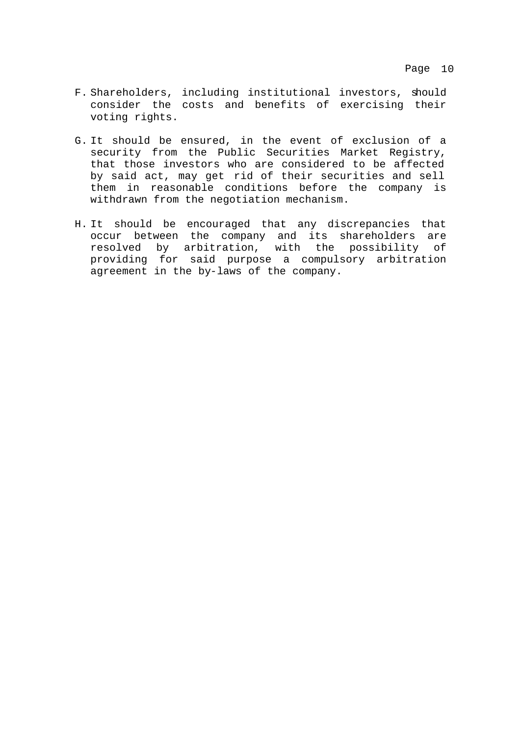- F. Shareholders, including institutional investors, should consider the costs and benefits of exercising their voting rights.
- G. It should be ensured, in the event of exclusion of a security from the Public Securities Market Registry, that those investors who are considered to be affected by said act, may get rid of their securities and sell them in reasonable conditions before the company is withdrawn from the negotiation mechanism.
- H. It should be encouraged that any discrepancies that occur between the company and its shareholders are resolved by arbitration, with the possibility of providing for said purpose a compulsory arbitration agreement in the by-laws of the company.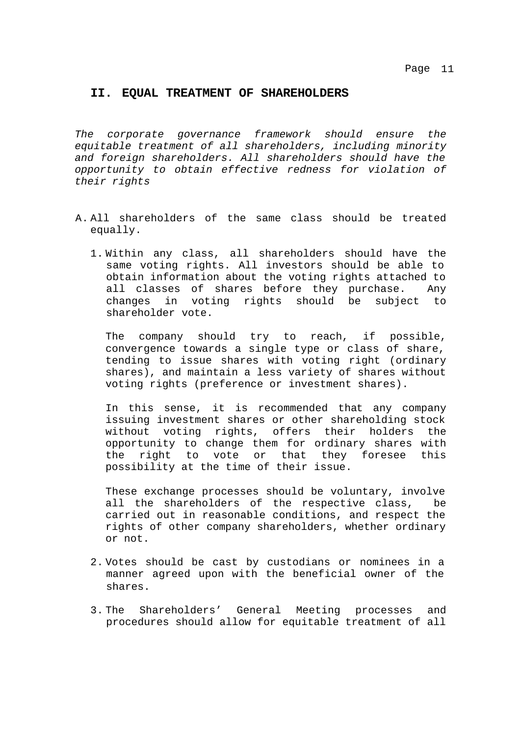#### **II. EQUAL TREATMENT OF SHAREHOLDERS**

*The corporate governance framework should ensure the equitable treatment of all shareholders, including minority and foreign shareholders. All shareholders should have the opportunity to obtain effective redness for violation of their rights*

- A. All shareholders of the same class should be treated equally.
	- 1. Within any class, all shareholders should have the same voting rights. All investors should be able to obtain information about the voting rights attached to all classes of shares before they purchase. Any changes in voting rights should be subject to shareholder vote.

The company should try to reach, if possible, convergence towards a single type or class of share, tending to issue shares with voting right (ordinary shares), and maintain a less variety of shares without voting rights (preference or investment shares).

In this sense, it is recommended that any company issuing investment shares or other shareholding stock without voting rights, offers their holders the opportunity to change them for ordinary shares with the right to vote or that they foresee this possibility at the time of their issue.

These exchange processes should be voluntary, involve all the shareholders of the respective class, be carried out in reasonable conditions, and respect the rights of other company shareholders, whether ordinary or not.

- 2. Votes should be cast by custodians or nominees in a manner agreed upon with the beneficial owner of the shares.
- 3. The Shareholders' General Meeting processes and procedures should allow for equitable treatment of all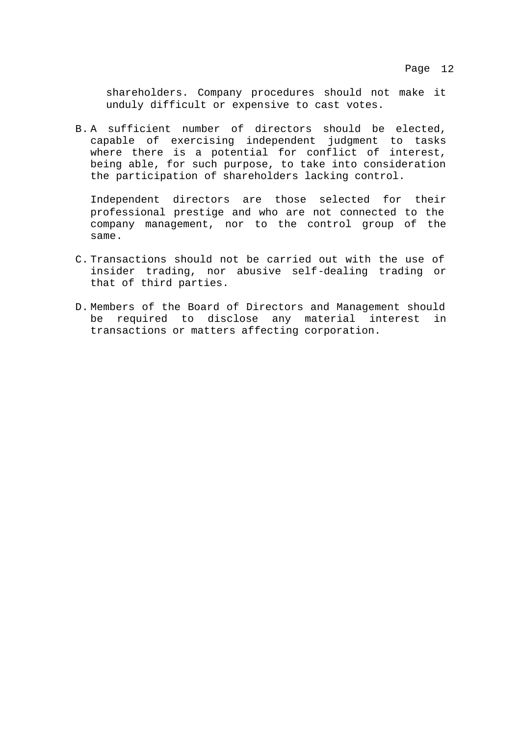shareholders. Company procedures should not make it unduly difficult or expensive to cast votes.

B. A sufficient number of directors should be elected, capable of exercising independent judgment to tasks where there is a potential for conflict of interest, being able, for such purpose, to take into consideration the participation of shareholders lacking control.

Independent directors are those selected for their professional prestige and who are not connected to the company management, nor to the control group of the same.

- C. Transactions should not be carried out with the use of insider trading, nor abusive self-dealing trading or that of third parties.
- D. Members of the Board of Directors and Management should be required to disclose any material interest in transactions or matters affecting corporation.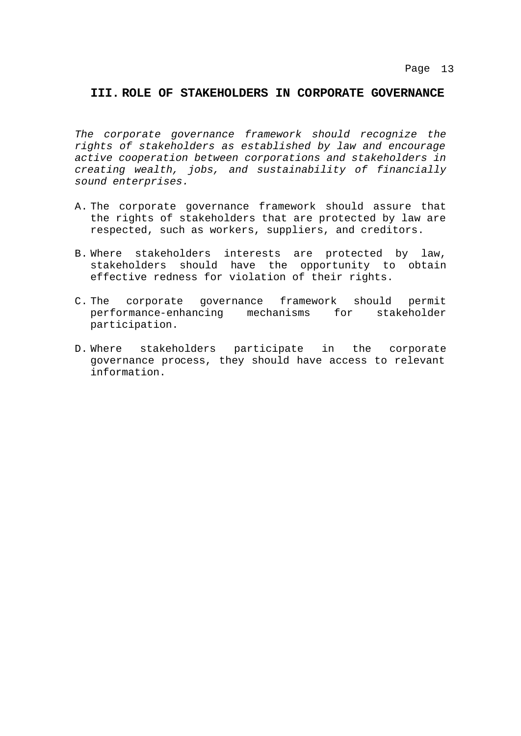### **III. ROLE OF STAKEHOLDERS IN CORPORATE GOVERNANCE**

*The corporate governance framework should recognize the rights of stakeholders as established by law and encourage active cooperation between corporations and stakeholders in creating wealth, jobs, and sustainability of financially sound enterprises.*

- A. The corporate governance framework should assure that the rights of stakeholders that are protected by law are respected, such as workers, suppliers, and creditors.
- B. Where stakeholders interests are protected by law, stakeholders should have the opportunity to obtain effective redness for violation of their rights.
- C. The corporate governance framework should permit performance-enhancing mechanisms for stakeholder participation.
- D. Where stakeholders participate in the corporate governance process, they should have access to relevant information.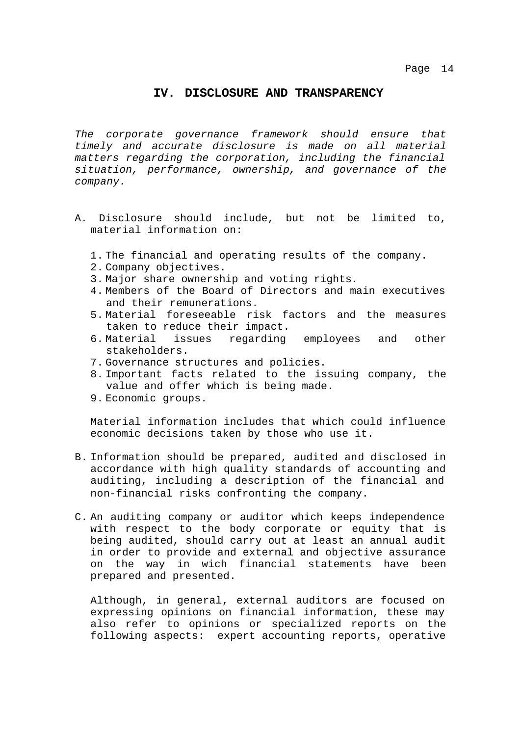#### **IV. DISCLOSURE AND TRANSPARENCY**

*The corporate governance framework should ensure that timely and accurate disclosure is made on all material matters regarding the corporation, including the financial situation, performance, ownership, and governance of the company.*

- A. Disclosure should include, but not be limited to, material information on:
	- 1. The financial and operating results of the company.
	- 2. Company objectives.
	- 3. Major share ownership and voting rights.
	- 4. Members of the Board of Directors and main executives and their remunerations.
	- 5. Material foreseeable risk factors and the measures taken to reduce their impact.
	- 6. Material issues regarding employees and other stakeholders.
	- 7. Governance structures and policies.
	- 8. Important facts related to the issuing company, the value and offer which is being made.
	- 9. Economic groups.

Material information includes that which could influence economic decisions taken by those who use it.

- B. Information should be prepared, audited and disclosed in accordance with high quality standards of accounting and auditing, including a description of the financial and non-financial risks confronting the company.
- C. An auditing company or auditor which keeps independence with respect to the body corporate or equity that is being audited, should carry out at least an annual audit in order to provide and external and objective assurance on the way in wich financial statements have been prepared and presented.

Although, in general, external auditors are focused on expressing opinions on financial information, these may also refer to opinions or specialized reports on the following aspects: expert accounting reports, operative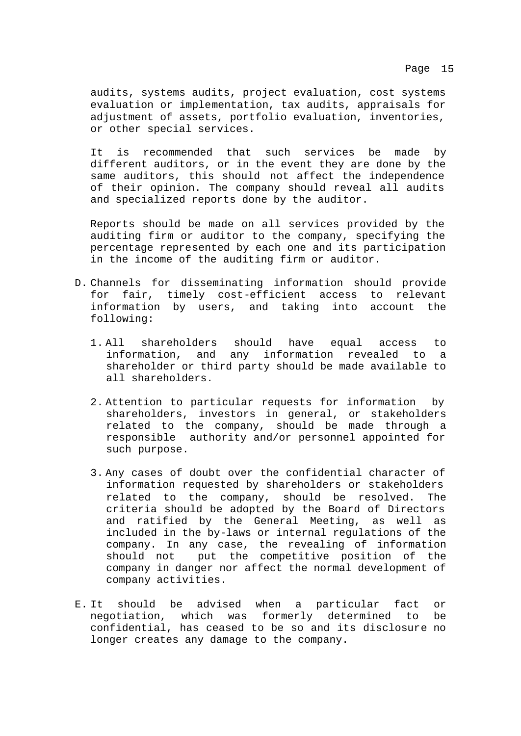audits, systems audits, project evaluation, cost systems evaluation or implementation, tax audits, appraisals for adjustment of assets, portfolio evaluation, inventories, or other special services.

It is recommended that such services be made by different auditors, or in the event they are done by the same auditors, this should not affect the independence of their opinion. The company should reveal all audits and specialized reports done by the auditor.

Reports should be made on all services provided by the auditing firm or auditor to the company, specifying the percentage represented by each one and its participation in the income of the auditing firm or auditor.

- D. Channels for disseminating information should provide for fair, timely cost-efficient access to relevant information by users, and taking into account the following:
	- 1. All shareholders should have equal access to information, and any information revealed to a shareholder or third party should be made available to all shareholders.
	- 2. Attention to particular requests for information by shareholders, investors in general, or stakeholders related to the company, should be made through a responsible authority and/or personnel appointed for such purpose.
	- 3. Any cases of doubt over the confidential character of information requested by shareholders or stakeholders related to the company, should be resolved. The criteria should be adopted by the Board of Directors and ratified by the General Meeting, as well as included in the by-laws or internal regulations of the company. In any case, the revealing of information should not put the competitive position of the company in danger nor affect the normal development of company activities.
- E. It should be advised when a particular fact or negotiation, which was formerly determined to be confidential, has ceased to be so and its disclosure no longer creates any damage to the company.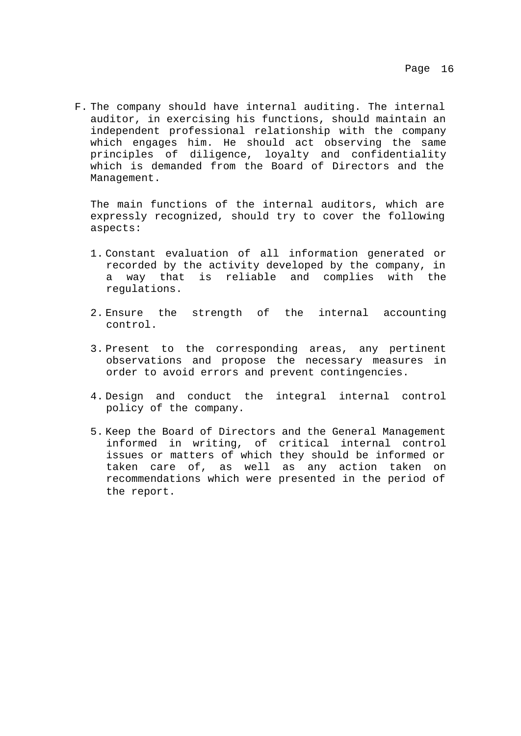F. The company should have internal auditing. The internal auditor, in exercising his functions, should maintain an independent professional relationship with the company which engages him. He should act observing the same principles of diligence, loyalty and confidentiality which is demanded from the Board of Directors and the Management.

The main functions of the internal auditors, which are expressly recognized, should try to cover the following aspects:

- 1. Constant evaluation of all information generated or recorded by the activity developed by the company, in a way that is reliable and complies with the regulations.
- 2. Ensure the strength of the internal accounting control.
- 3. Present to the corresponding areas, any pertinent observations and propose the necessary measures in order to avoid errors and prevent contingencies.
- 4. Design and conduct the integral internal control policy of the company.
- 5. Keep the Board of Directors and the General Management informed in writing, of critical internal control issues or matters of which they should be informed or taken care of, as well as any action taken on recommendations which were presented in the period of the report.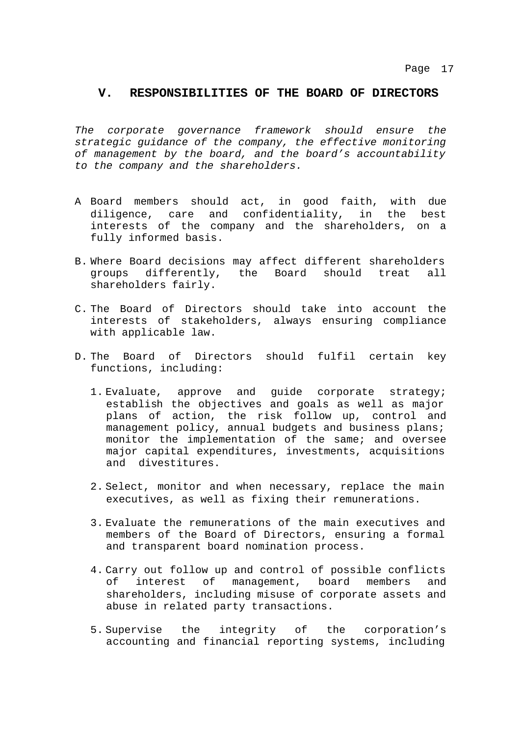#### **V. RESPONSIBILITIES OF THE BOARD OF DIRECTORS**

*The corporate governance framework should ensure the strategic guidance of the company, the effective monitoring of management by the board, and the board's accountability to the company and the shareholders.*

- A Board members should act, in good faith, with due diligence, care and confidentiality, in the best interests of the company and the shareholders, on a fully informed basis.
- B. Where Board decisions may affect different shareholders groups differently, the Board should treat all shareholders fairly.
- C. The Board of Directors should take into account the interests of stakeholders, always ensuring compliance with applicable law.
- D. The Board of Directors should fulfil certain key functions, including:
	- 1. Evaluate, approve and guide corporate strategy; establish the objectives and goals as well as major plans of action, the risk follow up, control and management policy, annual budgets and business plans; monitor the implementation of the same; and oversee major capital expenditures, investments, acquisitions and divestitures.
	- 2. Select, monitor and when necessary, replace the main executives, as well as fixing their remunerations.
	- 3. Evaluate the remunerations of the main executives and members of the Board of Directors, ensuring a formal and transparent board nomination process.
	- 4. Carry out follow up and control of possible conflicts of interest of management, board members and shareholders, including misuse of corporate assets and abuse in related party transactions.
	- 5. Supervise the integrity of the corporation's accounting and financial reporting systems, including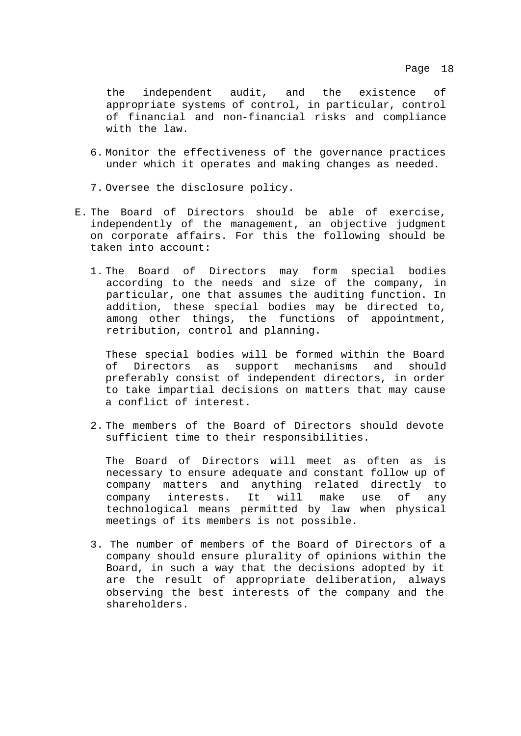the independent audit, and the existence of appropriate systems of control, in particular, control of financial and non-financial risks and compliance with the law.

- 6. Monitor the effectiveness of the governance practices under which it operates and making changes as needed.
- 7. Oversee the disclosure policy.
- E. The Board of Directors should be able of exercise, independently of the management, an objective judgment on corporate affairs. For this the following should be taken into account:
	- 1. The Board of Directors may form special bodies according to the needs and size of the company, in particular, one that assumes the auditing function. In addition, these special bodies may be directed to, among other things, the functions of appointment, retribution, control and planning.

These special bodies will be formed within the Board of Directors as support mechanisms and should preferably consist of independent directors, in order to take impartial decisions on matters that may cause a conflict of interest.

2. The members of the Board of Directors should devote sufficient time to their responsibilities.

The Board of Directors will meet as often as is necessary to ensure adequate and constant follow up of company matters and anything related directly to company interests. It will make use of any technological means permitted by law when physical meetings of its members is not possible.

3. The number of members of the Board of Directors of a company should ensure plurality of opinions within the Board, in such a way that the decisions adopted by it are the result of appropriate deliberation, always observing the best interests of the company and the shareholders.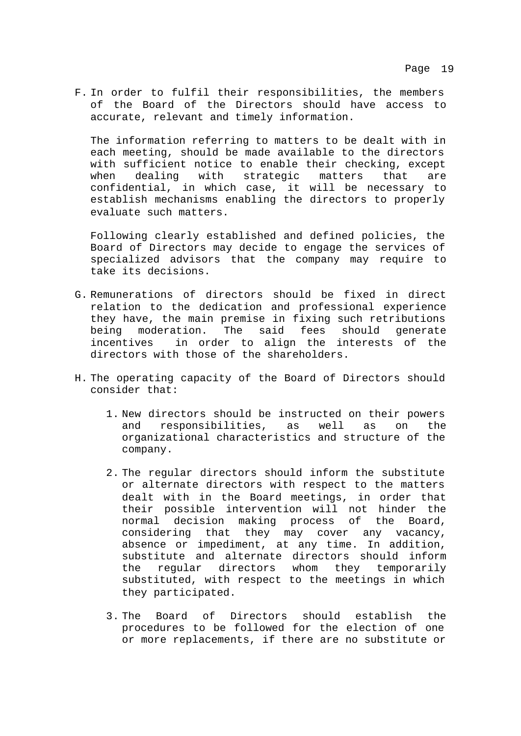F. In order to fulfil their responsibilities, the members of the Board of the Directors should have access to accurate, relevant and timely information.

The information referring to matters to be dealt with in each meeting, should be made available to the directors with sufficient notice to enable their checking, except when dealing with strategic matters that are confidential, in which case, it will be necessary to establish mechanisms enabling the directors to properly evaluate such matters.

Following clearly established and defined policies, the Board of Directors may decide to engage the services of specialized advisors that the company may require to take its decisions.

- G. Remunerations of directors should be fixed in direct relation to the dedication and professional experience they have, the main premise in fixing such retributions being moderation. The said fees should generate incentives in order to align the interests of the directors with those of the shareholders.
- H. The operating capacity of the Board of Directors should consider that:
	- 1. New directors should be instructed on their powers and responsibilities, as well as on the organizational characteristics and structure of the company.
	- 2. The regular directors should inform the substitute or alternate directors with respect to the matters dealt with in the Board meetings, in order that their possible intervention will not hinder the normal decision making process of the Board, considering that they may cover any vacancy, absence or impediment, at any time. In addition, substitute and alternate directors should inform the regular directors whom they temporarily substituted, with respect to the meetings in which they participated.
	- 3. The Board of Directors should establish the procedures to be followed for the election of one or more replacements, if there are no substitute or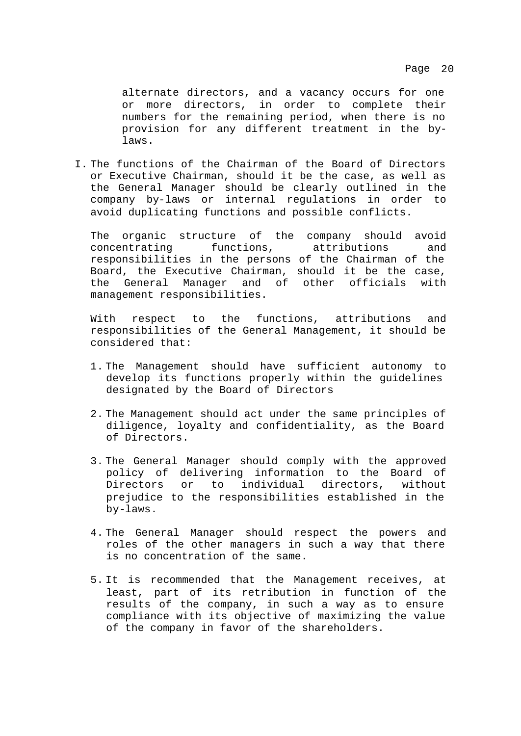alternate directors, and a vacancy occurs for one or more directors, in order to complete their numbers for the remaining period, when there is no provision for any different treatment in the bylaws.

I. The functions of the Chairman of the Board of Directors or Executive Chairman, should it be the case, as well as the General Manager should be clearly outlined in the company by-laws or internal regulations in order to avoid duplicating functions and possible conflicts.

The organic structure of the company should avoid concentrating functions, attributions and responsibilities in the persons of the Chairman of the Board, the Executive Chairman, should it be the case, the General Manager and of other officials with management responsibilities.

With respect to the functions, attributions and responsibilities of the General Management, it should be considered that:

- 1. The Management should have sufficient autonomy to develop its functions properly within the guidelines designated by the Board of Directors
- 2. The Management should act under the same principles of diligence, loyalty and confidentiality, as the Board of Directors.
- 3. The General Manager should comply with the approved policy of delivering information to the Board of Directors or to individual directors, without prejudice to the responsibilities established in the by-laws.
- 4. The General Manager should respect the powers and roles of the other managers in such a way that there is no concentration of the same.
- 5. It is recommended that the Management receives, at least, part of its retribution in function of the results of the company, in such a way as to ensure compliance with its objective of maximizing the value of the company in favor of the shareholders.